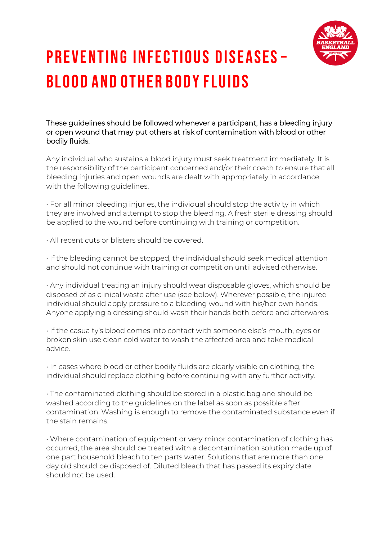

## Preventing Infectious Diseases – Blood and Other Body Fluids

These guidelines should be followed whenever a participant, has a bleeding injury or open wound that may put others at risk of contamination with blood or other bodily fluids.

Any individual who sustains a blood injury must seek treatment immediately. It is the responsibility of the participant concerned and/or their coach to ensure that all bleeding injuries and open wounds are dealt with appropriately in accordance with the following quidelines.

• For all minor bleeding injuries, the individual should stop the activity in which they are involved and attempt to stop the bleeding. A fresh sterile dressing should be applied to the wound before continuing with training or competition.

• All recent cuts or blisters should be covered.

• If the bleeding cannot be stopped, the individual should seek medical attention and should not continue with training or competition until advised otherwise.

• Any individual treating an injury should wear disposable gloves, which should be disposed of as clinical waste after use (see below). Wherever possible, the injured individual should apply pressure to a bleeding wound with his/her own hands. Anyone applying a dressing should wash their hands both before and afterwards.

• If the casualty's blood comes into contact with someone else's mouth, eyes or broken skin use clean cold water to wash the affected area and take medical advice.

• In cases where blood or other bodily fluids are clearly visible on clothing, the individual should replace clothing before continuing with any further activity.

• The contaminated clothing should be stored in a plastic bag and should be washed according to the guidelines on the label as soon as possible after contamination. Washing is enough to remove the contaminated substance even if the stain remains.

• Where contamination of equipment or very minor contamination of clothing has occurred, the area should be treated with a decontamination solution made up of one part household bleach to ten parts water. Solutions that are more than one day old should be disposed of. Diluted bleach that has passed its expiry date should not be used.